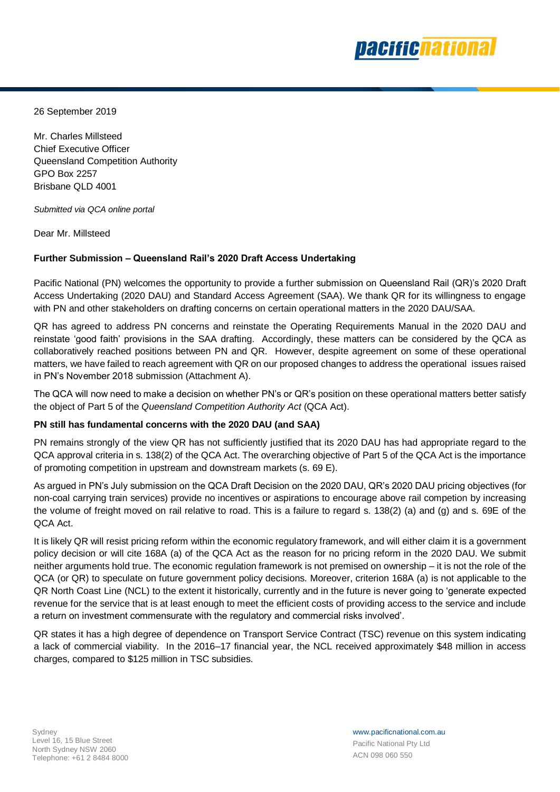

26 September 2019

Mr. Charles Millsteed Chief Executive Officer Queensland Competition Authority GPO Box 2257 Brisbane QLD 4001

*Submitted via QCA online portal*

Dear Mr. Millsteed

## **Further Submission – Queensland Rail's 2020 Draft Access Undertaking**

Pacific National (PN) welcomes the opportunity to provide a further submission on Queensland Rail (QR)'s 2020 Draft Access Undertaking (2020 DAU) and Standard Access Agreement (SAA). We thank QR for its willingness to engage with PN and other stakeholders on drafting concerns on certain operational matters in the 2020 DAU/SAA.

QR has agreed to address PN concerns and reinstate the Operating Requirements Manual in the 2020 DAU and reinstate 'good faith' provisions in the SAA drafting. Accordingly, these matters can be considered by the QCA as collaboratively reached positions between PN and QR. However, despite agreement on some of these operational matters, we have failed to reach agreement with QR on our proposed changes to address the operational issues raised in PN's November 2018 submission (Attachment A).

The QCA will now need to make a decision on whether PN's or QR's position on these operational matters better satisfy the object of Part 5 of the *Queensland Competition Authority Act* (QCA Act).

## **PN still has fundamental concerns with the 2020 DAU (and SAA)**

PN remains strongly of the view QR has not sufficiently justified that its 2020 DAU has had appropriate regard to the QCA approval criteria in s. 138(2) of the QCA Act. The overarching objective of Part 5 of the QCA Act is the importance of promoting competition in upstream and downstream markets (s. 69 E).

As argued in PN's July submission on the QCA Draft Decision on the 2020 DAU, QR's 2020 DAU pricing objectives (for non-coal carrying train services) provide no incentives or aspirations to encourage above rail competion by increasing the volume of freight moved on rail relative to road. This is a failure to regard s. 138(2) (a) and (g) and s. 69E of the QCA Act.

It is likely QR will resist pricing reform within the economic regulatory framework, and will either claim it is a government policy decision or will cite 168A (a) of the QCA Act as the reason for no pricing reform in the 2020 DAU. We submit neither arguments hold true. The economic regulation framework is not premised on ownership – it is not the role of the QCA (or QR) to speculate on future government policy decisions. Moreover, criterion 168A (a) is not applicable to the QR North Coast Line (NCL) to the extent it historically, currently and in the future is never going to 'generate expected revenue for the service that is at least enough to meet the efficient costs of providing access to the service and include a return on investment commensurate with the regulatory and commercial risks involved'.

QR states it has a high degree of dependence on Transport Service Contract (TSC) revenue on this system indicating a lack of commercial viability. In the 2016–17 financial year, the NCL received approximately \$48 million in access charges, compared to \$125 million in TSC subsidies.

www.pacificnational.com.au Pacific National Pty Ltd ACN 098 060 550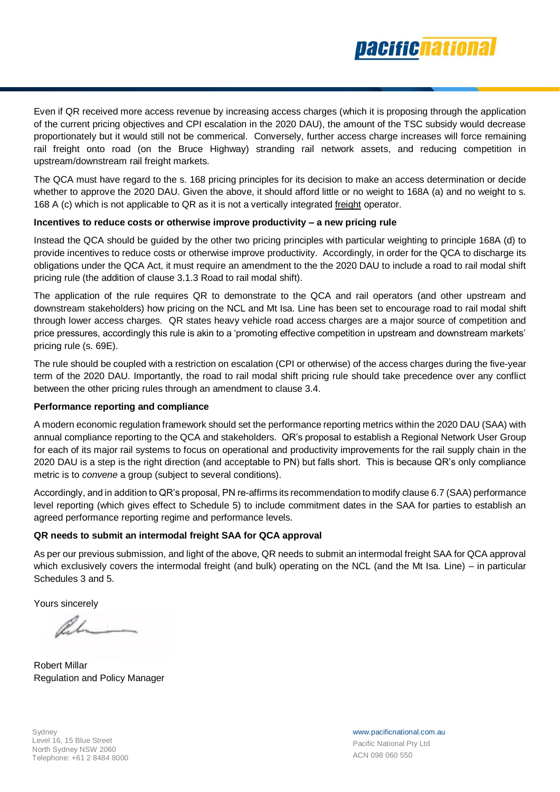

Even if QR received more access revenue by increasing access charges (which it is proposing through the application of the current pricing objectives and CPI escalation in the 2020 DAU), the amount of the TSC subsidy would decrease proportionately but it would still not be commerical. Conversely, further access charge increases will force remaining rail freight onto road (on the Bruce Highway) stranding rail network assets, and reducing competition in upstream/downstream rail freight markets.

The QCA must have regard to the s. 168 pricing principles for its decision to make an access determination or decide whether to approve the 2020 DAU. Given the above, it should afford little or no weight to 168A (a) and no weight to s. 168 A (c) which is not applicable to QR as it is not a vertically integrated freight operator.

## **Incentives to reduce costs or otherwise improve productivity – a new pricing rule**

Instead the QCA should be guided by the other two pricing principles with particular weighting to principle 168A (d) to provide incentives to reduce costs or otherwise improve productivity. Accordingly, in order for the QCA to discharge its obligations under the QCA Act, it must require an amendment to the the 2020 DAU to include a road to rail modal shift pricing rule (the addition of clause 3.1.3 Road to rail modal shift).

The application of the rule requires QR to demonstrate to the QCA and rail operators (and other upstream and downstream stakeholders) how pricing on the NCL and Mt Isa. Line has been set to encourage road to rail modal shift through lower access charges. QR states heavy vehicle road access charges are a major source of competition and price pressures, accordingly this rule is akin to a 'promoting effective competition in upstream and downstream markets' pricing rule (s. 69E).

The rule should be coupled with a restriction on escalation (CPI or otherwise) of the access charges during the five-year term of the 2020 DAU. Importantly, the road to rail modal shift pricing rule should take precedence over any conflict between the other pricing rules through an amendment to clause 3.4.

## **Performance reporting and compliance**

A modern economic regulation framework should set the performance reporting metrics within the 2020 DAU (SAA) with annual compliance reporting to the QCA and stakeholders. QR's proposal to establish a Regional Network User Group for each of its major rail systems to focus on operational and productivity improvements for the rail supply chain in the 2020 DAU is a step is the right direction (and acceptable to PN) but falls short. This is because QR's only compliance metric is to *convene* a group (subject to several conditions).

Accordingly, and in addition to QR's proposal, PN re-affirms its recommendation to modify clause 6.7 (SAA) performance level reporting (which gives effect to Schedule 5) to include commitment dates in the SAA for parties to establish an agreed performance reporting regime and performance levels.

# **QR needs to submit an intermodal freight SAA for QCA approval**

As per our previous submission, and light of the above, QR needs to submit an intermodal freight SAA for QCA approval which exclusively covers the intermodal freight (and bulk) operating on the NCL (and the Mt Isa. Line) – in particular Schedules 3 and 5.

Yours sincerely

Robert Millar Regulation and Policy Manager

**Sydney** Level 16, 15 Blue Street North Sydney NSW 2060 Telephone: +61 2 8484 8000 www.pacificnational.com.au Pacific National Pty Ltd ACN 098 060 550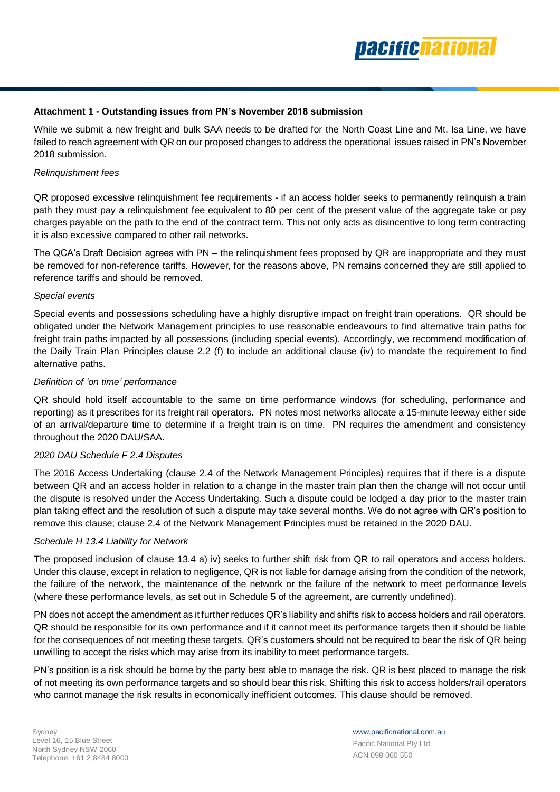

# **Attachment 1 - Outstanding issues from PN's November 2018 submission**

While we submit a new freight and bulk SAA needs to be drafted for the North Coast Line and Mt. Isa Line, we have failed to reach agreement with QR on our proposed changes to address the operational issues raised in PN's November 2018 submission.

### *Relinquishment fees*

QR proposed excessive relinquishment fee requirements - if an access holder seeks to permanently relinquish a train path they must pay a relinquishment fee equivalent to 80 per cent of the present value of the aggregate take or pay charges payable on the path to the end of the contract term. This not only acts as disincentive to long term contracting it is also excessive compared to other rail networks.

The QCA's Draft Decision agrees with PN – the relinguishment fees proposed by QR are inappropriate and they must be removed for non-reference tariffs. However, for the reasons above, PN remains concerned they are still applied to reference tariffs and should be removed.

### *Special events*

Special events and possessions scheduling have a highly disruptive impact on freight train operations. QR should be obligated under the Network Management principles to use reasonable endeavours to find alternative train paths for freight train paths impacted by all possessions (including special events). Accordingly, we recommend modification of the Daily Train Plan Principles clause 2.2 (f) to include an additional clause (iv) to mandate the requirement to find alternative paths.

## *Definition of 'on time' performance*

QR should hold itself accountable to the same on time performance windows (for scheduling, performance and reporting) as it prescribes for its freight rail operators. PN notes most networks allocate a 15-minute leeway either side of an arrival/departure time to determine if a freight train is on time. PN requires the amendment and consistency throughout the 2020 DAU/SAA.

## *2020 DAU Schedule F 2.4 Disputes*

The 2016 Access Undertaking (clause 2.4 of the Network Management Principles) requires that if there is a dispute between QR and an access holder in relation to a change in the master train plan then the change will not occur until the dispute is resolved under the Access Undertaking. Such a dispute could be lodged a day prior to the master train plan taking effect and the resolution of such a dispute may take several months. We do not agree with QR's position to remove this clause; clause 2.4 of the Network Management Principles must be retained in the 2020 DAU.

## *Schedule H 13.4 Liability for Network*

The proposed inclusion of clause 13.4 a) iv) seeks to further shift risk from QR to rail operators and access holders. Under this clause, except in relation to negligence, QR is not liable for damage arising from the condition of the network, the failure of the network, the maintenance of the network or the failure of the network to meet performance levels (where these performance levels, as set out in Schedule 5 of the agreement, are currently undefined).

PN does not accept the amendment as it further reduces QR's liability and shifts risk to access holders and rail operators. QR should be responsible for its own performance and if it cannot meet its performance targets then it should be liable for the consequences of not meeting these targets. QR's customers should not be required to bear the risk of QR being unwilling to accept the risks which may arise from its inability to meet performance targets.

PN's position is a risk should be borne by the party best able to manage the risk. QR is best placed to manage the risk of not meeting its own performance targets and so should bear this risk. Shifting this risk to access holders/rail operators who cannot manage the risk results in economically inefficient outcomes. This clause should be removed.